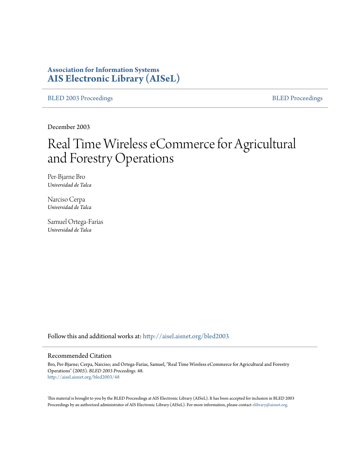# **Association for Information Systems [AIS Electronic Library \(AISeL\)](http://aisel.aisnet.org?utm_source=aisel.aisnet.org%2Fbled2003%2F48&utm_medium=PDF&utm_campaign=PDFCoverPages)**

[BLED 2003 Proceedings](http://aisel.aisnet.org/bled2003?utm_source=aisel.aisnet.org%2Fbled2003%2F48&utm_medium=PDF&utm_campaign=PDFCoverPages) **[BLED Proceedings](http://aisel.aisnet.org/bled?utm_source=aisel.aisnet.org%2Fbled2003%2F48&utm_medium=PDF&utm_campaign=PDFCoverPages)** 

December 2003

# Real Time Wireless eCommerce for Agricultural and Forestry Operations

Per-Bjarne Bro *Universidad de Talca*

Narciso Cerpa *Universidad de Talca*

Samuel Ortega-Farías *Universidad de Talca*

Follow this and additional works at: [http://aisel.aisnet.org/bled2003](http://aisel.aisnet.org/bled2003?utm_source=aisel.aisnet.org%2Fbled2003%2F48&utm_medium=PDF&utm_campaign=PDFCoverPages)

#### Recommended Citation

Bro, Per-Bjarne; Cerpa, Narciso; and Ortega-Farías, Samuel, "Real Time Wireless eCommerce for Agricultural and Forestry Operations" (2003). *BLED 2003 Proceedings*. 48. [http://aisel.aisnet.org/bled2003/48](http://aisel.aisnet.org/bled2003/48?utm_source=aisel.aisnet.org%2Fbled2003%2F48&utm_medium=PDF&utm_campaign=PDFCoverPages)

This material is brought to you by the BLED Proceedings at AIS Electronic Library (AISeL). It has been accepted for inclusion in BLED 2003 Proceedings by an authorized administrator of AIS Electronic Library (AISeL). For more information, please contact [elibrary@aisnet.org](mailto:elibrary@aisnet.org%3E).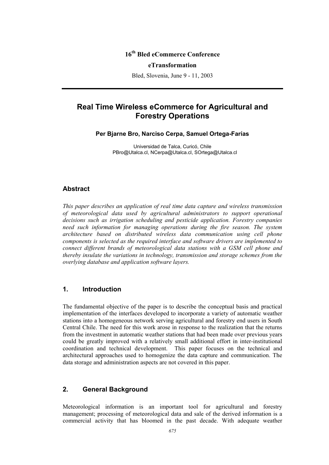## **16th Bled eCommerce Conference**

#### **eTransformation**

Bled, Slovenia, June 9 - 11, 2003

# **Real Time Wireless eCommerce for Agricultural and Forestry Operations**

**Per Bjarne Bro, Narciso Cerpa, Samuel Ortega-Farías** 

Universidad de Talca, Curicó, Chile PBro@Utalca.cl, NCerpa@Utalca.cl, SOrtega@Utalca.cl

#### **Abstract**

*This paper describes an application of real time data capture and wireless transmission of meteorological data used by agricultural administrators to support operational decisions such as irrigation scheduling and pesticide application. Forestry companies need such information for managing operations during the fire season. The system architecture based on distributed wireless data communication using cell phone components is selected as the required interface and software drivers are implemented to connect different brands of meteorological data stations with a GSM cell phone and thereby insulate the variations in technology, transmission and storage schemes from the overlying database and application software layers.* 

#### **1. Introduction**

The fundamental objective of the paper is to describe the conceptual basis and practical implementation of the interfaces developed to incorporate a variety of automatic weather stations into a homogeneous network serving agricultural and forestry end users in South Central Chile. The need for this work arose in response to the realization that the returns from the investment in automatic weather stations that had been made over previous years could be greatly improved with a relatively small additional effort in inter-institutional coordination and technical development. This paper focuses on the technical and architectural approaches used to homogenize the data capture and communication. The data storage and administration aspects are not covered in this paper.

### **2. General Background**

Meteorological information is an important tool for agricultural and forestry management; processing of meteorological data and sale of the derived information is a commercial activity that has bloomed in the past decade. With adequate weather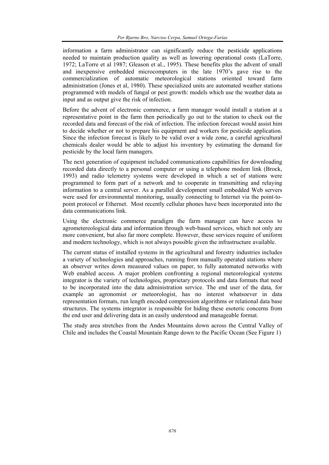information a farm administrator can significantly reduce the pesticide applications needed to maintain production quality as well as lowering operational costs (LaTorre, 1972; LaTorre et al 1987; Gleason et al., 1995). These benefits plus the advent of small and inexpensive embedded microcomputers in the late 1970's gave rise to the commercialization of automatic meteorological stations oriented toward farm administration (Jones et al, 1980). These specialized units are automated weather stations programmed with models of fungal or pest growth: models which use the weather data as input and as output give the risk of infection.

Before the advent of electronic commerce, a farm manager would install a station at a representative point in the farm then periodically go out to the station to check out the recorded data and forecast of the risk of infection. The infection forecast would assist him to decide whether or not to prepare his equipment and workers for pesticide application. Since the infection forecast is likely to be valid over a wide zone, a careful agricultural chemicals dealer would be able to adjust his inventory by estimating the demand for pesticide by the local farm managers.

The next generation of equipment included communications capabilities for downloading recorded data directly to a personal computer or using a telephone modem link (Brock, 1993) and radio telemetry systems were developed in which a set of stations were programmed to form part of a network and to cooperate in transmitting and relaying information to a central server. As a parallel development small embedded Web servers were used for environmental monitoring, usually connecting to Internet via the point-topoint protocol or Ethernet. Most recently cellular phones have been incorporated into the data communications link.

Using the electronic commerce paradigm the farm manager can have access to agrometereological data and information through web-based services, which not only are more convenient, but also far more complete. However, these services require of uniform and modern technology, which is not always possible given the infrastructure available.

The current status of installed systems in the agricultural and forestry industries includes a variety of technologies and approaches, running from manually operated stations where an observer writes down measured values on paper, to fully automated networks with Web enabled access. A major problem confronting a regional meteorological systems integrator is the variety of technologies, proprietary protocols and data formats that need to be incorporated into the data administration service. The end user of the data, for example an agronomist or meteorologist, has no interest whatsoever in data representation formats, run length encoded compression algorithms or relational data base structures. The systems integrator is responsible for hiding these esoteric concerns from the end user and delivering data in an easily understood and manageable format.

The study area stretches from the Andes Mountains down across the Central Valley of Chile and includes the Coastal Mountain Range down to the Pacific Ocean (See Figure 1)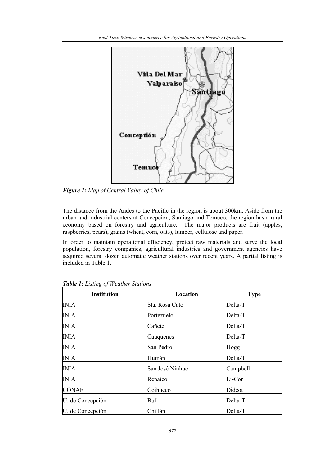

*Figure 1: Map of Central Valley of Chile* 

The distance from the Andes to the Pacific in the region is about 300km. Aside from the urban and industrial centers at Concepción, Santiago and Temuco, the region has a rural economy based on forestry and agriculture. The major products are fruit (apples, raspberries, pears), grains (wheat, corn, oats), lumber, cellulose and paper.

In order to maintain operational efficiency, protect raw materials and serve the local population, forestry companies, agricultural industries and government agencies have acquired several dozen automatic weather stations over recent years. A partial listing is included in Table 1.

| <b>Institution</b> | Location        | <b>Type</b> |
|--------------------|-----------------|-------------|
| <b>INIA</b>        | Sta. Rosa Cato  | Delta-T     |
| <b>INIA</b>        | Portezuelo      | Delta-T     |
| <b>INIA</b>        | Cañete          | Delta-T     |
| <b>INIA</b>        | Cauquenes       | Delta-T     |
| <b>INIA</b>        | San Pedro       | Hogg        |
| <b>INIA</b>        | Humán           | Delta-T     |
| <b>INIA</b>        | San José Ninhue | Campbell    |
| <b>INIA</b>        | Renaico         | Li-Cor      |
| <b>CONAF</b>       | Coihueco        | Didcot      |
| U. de Concepción   | Buli            | Delta-T     |
| U. de Concepción   | Chillán         | Delta-T     |

*Table 1: Listing of Weather Stations*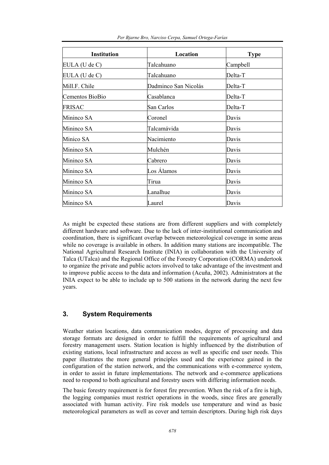| <b>Institution</b> | Location             | <b>Type</b> |
|--------------------|----------------------|-------------|
| $EULA$ (U de C)    | Talcahuano           | Campbell    |
| $EULA$ (U de C)    | Talcahuano           | Delta-T     |
| Mill.F. Chile      | Dadminco San Nicolás | Delta-T     |
| Cementos BioBio    | Casablanca           | Delta-T     |
| <b>FRISAC</b>      | San Carlos           | Delta-T     |
| Mininco SA         | Coronel              | Davis       |
| Mininco SA         | Talcamávida          | Davis       |
| Minico SA          | Nacimiento           | Davis       |
| Mininco SA         | Mulchén              | Davis       |
| Mininco SA         | Cabrero              | Davis       |
| Mininco SA         | Los Álamos           | Davis       |
| Mininco SA         | Tirua                | Davis       |
| Mininco SA         | Lanalhue             | Davis       |
| Mininco SA         | Laurel               | Davis       |

*Per Bjarne Bro, Narciso Cerpa, Samuel Ortega-Farías* 

As might be expected these stations are from different suppliers and with completely different hardware and software. Due to the lack of inter-institutional communication and coordination, there is significant overlap between meteorological coverage in some areas while no coverage is available in others. In addition many stations are incompatible. The National Agricultural Research Institute (INIA) in collaboration with the University of Talca (UTalca) and the Regional Office of the Forestry Corporation (CORMA) undertook to organize the private and public actors involved to take advantage of the investment and to improve public access to the data and information (Acuña, 2002). Administrators at the INIA expect to be able to include up to 500 stations in the network during the next few years.

## **3. System Requirements**

Weather station locations, data communication modes, degree of processing and data storage formats are designed in order to fulfill the requirements of agricultural and forestry management users. Station location is highly influenced by the distribution of existing stations, local infrastructure and access as well as specific end user needs. This paper illustrates the more general principles used and the experience gained in the configuration of the station network, and the communications with e-commerce system, in order to assist in future implementations. The network and e-commerce applications need to respond to both agricultural and forestry users with differing information needs.

The basic forestry requirement is for forest fire prevention. When the risk of a fire is high, the logging companies must restrict operations in the woods, since fires are generally associated with human activity. Fire risk models use temperature and wind as basic meteorological parameters as well as cover and terrain descriptors. During high risk days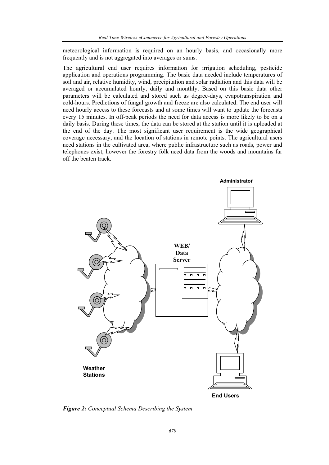meteorological information is required on an hourly basis, and occasionally more frequently and is not aggregated into averages or sums.

The agricultural end user requires information for irrigation scheduling, pesticide application and operations programming. The basic data needed include temperatures of soil and air, relative humidity, wind, precipitation and solar radiation and this data will be averaged or accumulated hourly, daily and monthly. Based on this basic data other parameters will be calculated and stored such as degree-days, evapotranspiration and cold-hours. Predictions of fungal growth and freeze are also calculated. The end user will need hourly access to these forecasts and at some times will want to update the forecasts every 15 minutes. In off-peak periods the need for data access is more likely to be on a daily basis. During these times, the data can be stored at the station until it is uploaded at the end of the day. The most significant user requirement is the wide geographical coverage necessary, and the location of stations in remote points. The agricultural users need stations in the cultivated area, where public infrastructure such as roads, power and telephones exist, however the forestry folk need data from the woods and mountains far off the beaten track.



*Figure 2: Conceptual Schema Describing the System*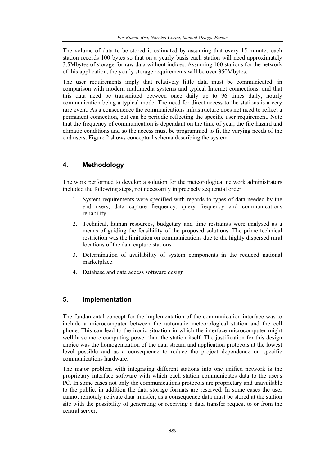The volume of data to be stored is estimated by assuming that every 15 minutes each station records 100 bytes so that on a yearly basis each station will need approximately 3.5Mbytes of storage for raw data without indices. Assuming 100 stations for the network of this application, the yearly storage requirements will be over 350Mbytes.

The user requirements imply that relatively little data must be communicated, in comparison with modern multimedia systems and typical Internet connections, and that this data need be transmitted between once daily up to 96 times daily, hourly communication being a typical mode. The need for direct access to the stations is a very rare event. As a consequence the communications infrastructure does not need to reflect a permanent connection, but can be periodic reflecting the specific user requirement. Note that the frequency of communication is dependant on the time of year, the fire hazard and climatic conditions and so the access must be programmed to fit the varying needs of the end users. Figure 2 shows conceptual schema describing the system.

## **4. Methodology**

The work performed to develop a solution for the meteorological network administrators included the following steps, not necessarily in precisely sequential order:

- 1. System requirements were specified with regards to types of data needed by the end users, data capture frequency, query frequency and communications reliability.
- 2. Technical, human resources, budgetary and time restraints were analysed as a means of guiding the feasibility of the proposed solutions. The prime technical restriction was the limitation on communications due to the highly dispersed rural locations of the data capture stations.
- 3. Determination of availability of system components in the reduced national marketplace.
- 4. Database and data access software design

# **5. Implementation**

The fundamental concept for the implementation of the communication interface was to include a microcomputer between the automatic meteorological station and the cell phone. This can lead to the ironic situation in which the interface microcomputer might well have more computing power than the station itself. The justification for this design choice was the homogenization of the data stream and application protocols at the lowest level possible and as a consequence to reduce the project dependence on specific communications hardware.

The major problem with integrating different stations into one unified network is the proprietary interface software with which each station communicates data to the user's PC. In some cases not only the communications protocols are proprietary and unavailable to the public, in addition the data storage formats are reserved. In some cases the user cannot remotely activate data transfer; as a consequence data must be stored at the station site with the possibility of generating or receiving a data transfer request to or from the central server.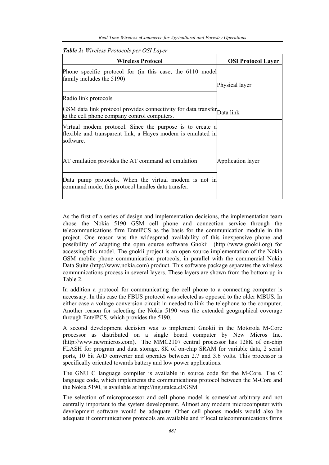|  |  |  | Table 2: Wireless Protocols per OSI Layer |
|--|--|--|-------------------------------------------|
|--|--|--|-------------------------------------------|

| <b>Wireless Protocol</b>                                                                                                             | <b>OSI Protocol Layer</b> |
|--------------------------------------------------------------------------------------------------------------------------------------|---------------------------|
| Phone specific protocol for (in this case, the 6110 model<br>family includes the 5190)                                               | Physical layer            |
| Radio link protocols                                                                                                                 |                           |
| GSM data link protocol provides connectivity for data transfer Data link<br>to the cell phone company control computers.             |                           |
| Virtual modem protocol. Since the purpose is to create a<br>flexible and transparent link, a Hayes modem is emulated in<br>software. |                           |
| AT emulation provides the AT command set emulation                                                                                   | <b>Application layer</b>  |
| Data pump protocols. When the virtual modem is not in<br>command mode, this protocol handles data transfer.                          |                           |

As the first of a series of design and implementation decisions, the implementation team chose the Nokia 5190 GSM cell phone and connection service through the telecommunications firm EntelPCS as the basis for the communication module in the project. One reason was the widespread availability of this inexpensive phone and possibility of adapting the open source software Gnokii (http://www.gnokii.org) for accessing this model. The gnokii project is an open source implementation of the Nokia GSM mobile phone communication protocols, in parallel with the commercial Nokia Data Suite (http://www.nokia.com) product. This software package separates the wireless communications process in several layers. These layers are shown from the bottom up in Table 2.

In addition a protocol for communicating the cell phone to a connecting computer is necessary. In this case the FBUS protocol was selected as opposed to the older MBUS. In either case a voltage conversion circuit in needed to link the telephone to the computer. Another reason for selecting the Nokia 5190 was the extended geographical coverage through EntelPCS, which provides the 5190.

A second development decision was to implement Gnokii in the Motorola M-Core processor as distributed on a single board computer by New Micros Inc. (http://www.newmicros.com). The MMC2107 central processor has 128K of on-chip FLASH for program and data storage, 8K of on-chip SRAM for variable data, 2 serial ports, 10 bit A/D converter and operates between 2.7 and 3.6 volts. This processor is specifically oriented towards battery and low power applications.

The GNU C language compiler is available in source code for the M-Core. The C language code, which implements the communications protocol between the M-Core and the Nokia 5190, is available at http://ing.utalca.cl/GSM

The selection of microprocessor and cell phone model is somewhat arbitrary and not centrally important to the system development. Almost any modern microcomputer with development software would be adequate. Other cell phones models would also be adequate if communications protocols are available and if local telecommunications firms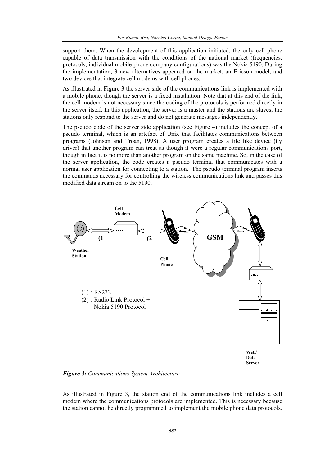support them. When the development of this application initiated, the only cell phone capable of data transmission with the conditions of the national market (frequencies, protocols, individual mobile phone company configurations) was the Nokia 5190. During the implementation, 3 new alternatives appeared on the market, an Ericson model, and two devices that integrate cell modems with cell phones.

As illustrated in Figure 3 the server side of the communications link is implemented with a mobile phone, though the server is a fixed installation. Note that at this end of the link, the cell modem is not necessary since the coding of the protocols is performed directly in the server itself. In this application, the server is a master and the stations are slaves; the stations only respond to the server and do not generate messages independently.

The pseudo code of the server side application (see Figure 4) includes the concept of a pseudo terminal, which is an artefact of Unix that facilitates communications between programs (Johnson and Troan, 1998). A user program creates a file like device (tty driver) that another program can treat as though it were a regular communications port, though in fact it is no more than another program on the same machine. So, in the case of the server application, the code creates a pseudo terminal that communicates with a normal user application for connecting to a station. The pseudo terminal program inserts the commands necessary for controlling the wireless communications link and passes this modified data stream on to the 5190.



*Figure 3: Communications System Architecture* 

As illustrated in Figure 3, the station end of the communications link includes a cell modem where the communications protocols are implemented. This is necessary because the station cannot be directly programmed to implement the mobile phone data protocols.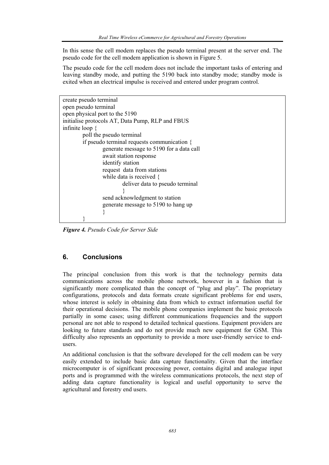In this sense the cell modem replaces the pseudo terminal present at the server end. The pseudo code for the cell modem application is shown in Figure 5.

The pseudo code for the cell modem does not include the important tasks of entering and leaving standby mode, and putting the 5190 back into standby mode; standby mode is exited when an electrical impulse is received and entered under program control.

*Figure 4. Pseudo Code for Server Side* 

# **6. Conclusions**

The principal conclusion from this work is that the technology permits data communications across the mobile phone network, however in a fashion that is significantly more complicated than the concept of "plug and play". The proprietary configurations, protocols and data formats create significant problems for end users, whose interest is solely in obtaining data from which to extract information useful for their operational decisions. The mobile phone companies implement the basic protocols partially in some cases; using different communications frequencies and the support personal are not able to respond to detailed technical questions. Equipment providers are looking to future standards and do not provide much new equipment for GSM. This difficulty also represents an opportunity to provide a more user-friendly service to endusers.

An additional conclusion is that the software developed for the cell modem can be very easily extended to include basic data capture functionality. Given that the interface microcomputer is of significant processing power, contains digital and analogue input ports and is programmed with the wireless communications protocols, the next step of adding data capture functionality is logical and useful opportunity to serve the agricultural and forestry end users.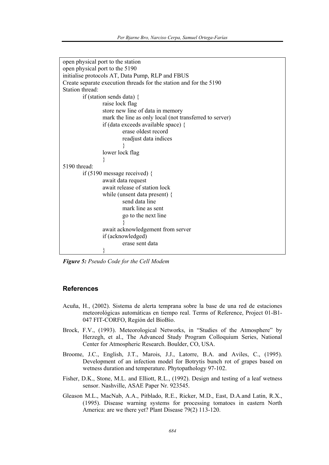```
open physical port to the station 
open physical port to the 5190 
initialise protocols AT, Data Pump, RLP and FBUS 
Create separate execution threads for the station and for the 5190 
Station thread: 
        if (station sends data) { 
                raise lock flag 
                store new line of data in memory 
                mark the line as only local (not transferred to server) 
                if (data exceeds available space) { 
                        erase oldest record 
                        readjust data indices 
 } 
                lower lock flag 
 } 
5190 thread: 
        if (5190 message received) { 
                await data request 
                await release of station lock 
                while (unsent data present) { 
                        send data line 
                        mark line as sent 
                        go to the next line 
 } 
                await acknowledgement from server 
                if (acknowledged) 
                        erase sent data 
 }
```
*Figure 5: Pseudo Code for the Cell Modem* 

#### **References**

- Acuña, H., (2002). Sistema de alerta temprana sobre la base de una red de estaciones meteorológicas automáticas en tiempo real. Terms of Reference, Project 01-B1- 047 FIT-CORFO, Región del BioBio.
- Brock, F.V., (1993). Meteorological Networks, in "Studies of the Atmosphere" by Herzegh, et al., The Advanced Study Program Colloquium Series, National Center for Atmospheric Research. Boulder, CO, USA.
- Broome, J.C., English, J.T., Marois, J.J., Latorre, B.A. and Aviles, C., (1995). Development of an infection model for Botrytis bunch rot of grapes based on wetness duration and temperature. Phytopathology 97-102.
- Fisher, D.K., Stone, M.L. and Elliott, R.L., (1992). Design and testing of a leaf wetness sensor. Nashville, ASAE Paper Nr. 923545.
- Gleason M.L., MacNab, A.A., Pitblado, R.E., Ricker, M.D., East, D.A.and Latin, R.X., (1995). Disease warning systems for processing tomatoes in eastern North America: are we there yet? Plant Disease 79(2) 113-120.